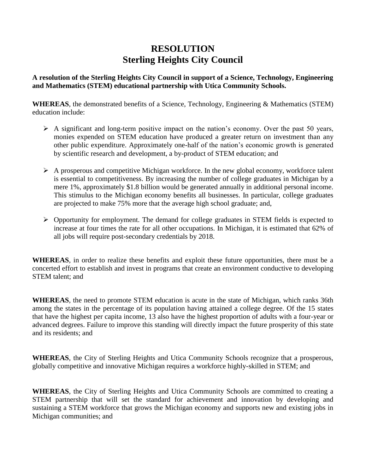## **RESOLUTION Sterling Heights City Council**

**A resolution of the Sterling Heights City Council in support of a Science, Technology, Engineering and Mathematics (STEM) educational partnership with Utica Community Schools.** 

**WHEREAS**, the demonstrated benefits of a Science, Technology, Engineering & Mathematics (STEM) education include:

- $\triangleright$  A significant and long-term positive impact on the nation's economy. Over the past 50 years, monies expended on STEM education have produced a greater return on investment than any other public expenditure. Approximately one-half of the nation's economic growth is generated by scientific research and development, a by-product of STEM education; and
- $\triangleright$  A prosperous and competitive Michigan workforce. In the new global economy, workforce talent is essential to competitiveness. By increasing the number of college graduates in Michigan by a mere 1%, approximately \$1.8 billion would be generated annually in additional personal income. This stimulus to the Michigan economy benefits all businesses. In particular, college graduates are projected to make 75% more that the average high school graduate; and,
- $\triangleright$  Opportunity for employment. The demand for college graduates in STEM fields is expected to increase at four times the rate for all other occupations. In Michigan, it is estimated that 62% of all jobs will require post-secondary credentials by 2018.

**WHEREAS**, in order to realize these benefits and exploit these future opportunities, there must be a concerted effort to establish and invest in programs that create an environment conductive to developing STEM talent; and

**WHEREAS**, the need to promote STEM education is acute in the state of Michigan, which ranks 36th among the states in the percentage of its population having attained a college degree. Of the 15 states that have the highest per capita income, 13 also have the highest proportion of adults with a four-year or advanced degrees. Failure to improve this standing will directly impact the future prosperity of this state and its residents; and

**WHEREAS**, the City of Sterling Heights and Utica Community Schools recognize that a prosperous, globally competitive and innovative Michigan requires a workforce highly-skilled in STEM; and

**WHEREAS**, the City of Sterling Heights and Utica Community Schools are committed to creating a STEM partnership that will set the standard for achievement and innovation by developing and sustaining a STEM workforce that grows the Michigan economy and supports new and existing jobs in Michigan communities; and